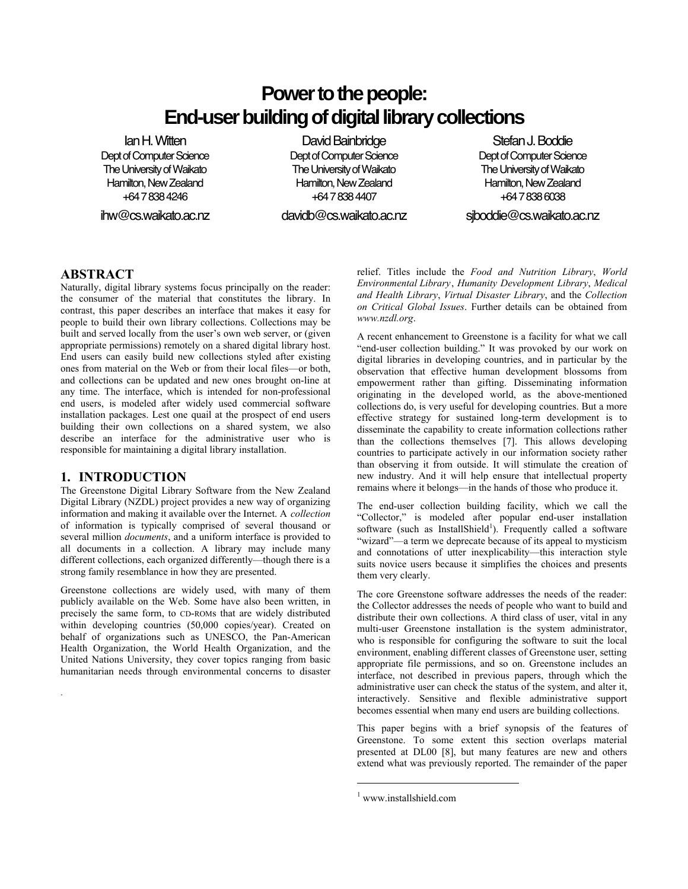# **Power to the people: End-user building of digital library collections**

Ian H. Witten Dept of Computer Science The University of Waikato Hamilton, New Zealand +64 7 838 4246

ihw@cs.waikato.ac.nz

David Bainbridge Dept of Computer Science The University of Waikato Hamilton, New Zealand +64 7 838 4407

davidb@cs.waikato.ac.nz

Stefan J. Boddie Dept of Computer Science The University of Waikato Hamilton, New Zealand +64 7 838 6038

sjboddie@cs.waikato.ac.nz

#### **ABSTRACT**

Naturally, digital library systems focus principally on the reader: the consumer of the material that constitutes the library. In contrast, this paper describes an interface that makes it easy for people to build their own library collections. Collections may be built and served locally from the user's own web server, or (given appropriate permissions) remotely on a shared digital library host. End users can easily build new collections styled after existing ones from material on the Web or from their local files—or both, and collections can be updated and new ones brought on-line at any time. The interface, which is intended for non-professional end users, is modeled after widely used commercial software installation packages. Lest one quail at the prospect of end users building their own collections on a shared system, we also describe an interface for the administrative user who is responsible for maintaining a digital library installation.

#### **1. INTRODUCTION**

.

The Greenstone Digital Library Software from the New Zealand Digital Library (NZDL) project provides a new way of organizing information and making it available over the Internet. A *collection* of information is typically comprised of several thousand or several million *documents*, and a uniform interface is provided to all documents in a collection. A library may include many different collections, each organized differently—though there is a strong family resemblance in how they are presented.

Greenstone collections are widely used, with many of them publicly available on the Web. Some have also been written, in precisely the same form, to CD-ROMs that are widely distributed within developing countries (50,000 copies/year). Created on behalf of organizations such as UNESCO, the Pan-American Health Organization, the World Health Organization, and the United Nations University, they cover topics ranging from basic humanitarian needs through environmental concerns to disaster

relief. Titles include the *Food and Nutrition Library*, *World Environmental Library*, *Humanity Development Library*, *Medical and Health Library*, *Virtual Disaster Library*, and the *Collection on Critical Global Issues*. Further details can be obtained from *www.nzdl.org*.

A recent enhancement to Greenstone is a facility for what we call "end-user collection building." It was provoked by our work on digital libraries in developing countries, and in particular by the observation that effective human development blossoms from empowerment rather than gifting. Disseminating information originating in the developed world, as the above-mentioned collections do, is very useful for developing countries. But a more effective strategy for sustained long-term development is to disseminate the capability to create information collections rather than the collections themselves [7]. This allows developing countries to participate actively in our information society rather than observing it from outside. It will stimulate the creation of new industry. And it will help ensure that intellectual property remains where it belongs—in the hands of those who produce it.

The end-user collection building facility, which we call the "Collector," is modeled after popular end-user installation software (such as InstallShield<sup>1</sup>). Frequently called a software "wizard"—a term we deprecate because of its appeal to mysticism and connotations of utter inexplicability—this interaction style suits novice users because it simplifies the choices and presents them very clearly.

The core Greenstone software addresses the needs of the reader: the Collector addresses the needs of people who want to build and distribute their own collections. A third class of user, vital in any multi-user Greenstone installation is the system administrator, who is responsible for configuring the software to suit the local environment, enabling different classes of Greenstone user, setting appropriate file permissions, and so on. Greenstone includes an interface, not described in previous papers, through which the administrative user can check the status of the system, and alter it, interactively. Sensitive and flexible administrative support becomes essential when many end users are building collections.

This paper begins with a brief synopsis of the features of Greenstone. To some extent this section overlaps material presented at DL00 [8], but many features are new and others extend what was previously reported. The remainder of the paper

l

<sup>1</sup> www.installshield.com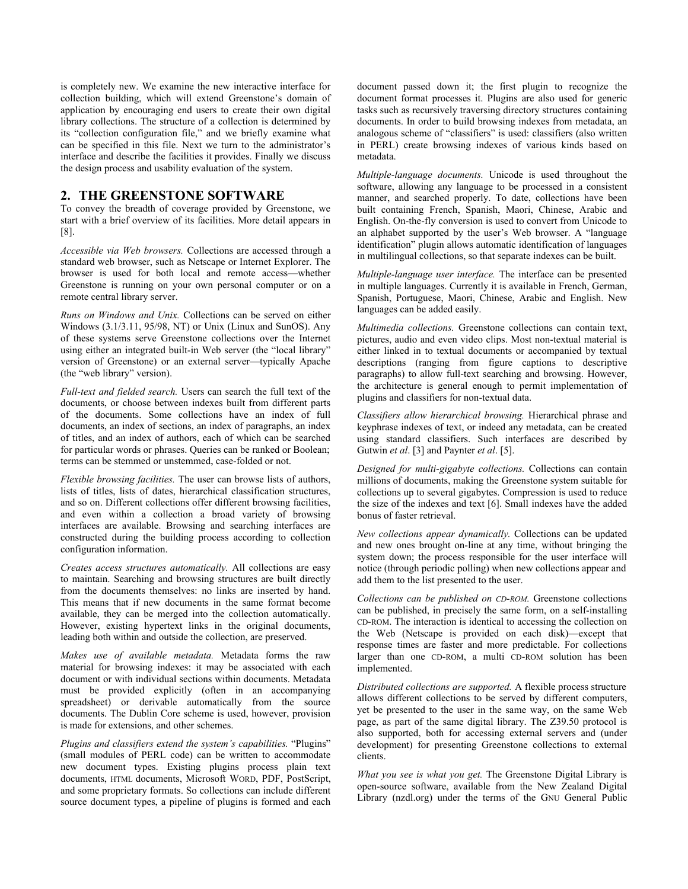is completely new. We examine the new interactive interface for collection building, which will extend Greenstone's domain of application by encouraging end users to create their own digital library collections. The structure of a collection is determined by its "collection configuration file," and we briefly examine what can be specified in this file. Next we turn to the administrator's interface and describe the facilities it provides. Finally we discuss the design process and usability evaluation of the system.

#### **2. THE GREENSTONE SOFTWARE**

To convey the breadth of coverage provided by Greenstone, we start with a brief overview of its facilities. More detail appears in [8].

*Accessible via Web browsers.* Collections are accessed through a standard web browser, such as Netscape or Internet Explorer. The browser is used for both local and remote access—whether Greenstone is running on your own personal computer or on a remote central library server.

*Runs on Windows and Unix.* Collections can be served on either Windows (3.1/3.11, 95/98, NT) or Unix (Linux and SunOS). Any of these systems serve Greenstone collections over the Internet using either an integrated built-in Web server (the "local library" version of Greenstone) or an external server—typically Apache (the "web library" version).

*Full-text and fielded search.* Users can search the full text of the documents, or choose between indexes built from different parts of the documents. Some collections have an index of full documents, an index of sections, an index of paragraphs, an index of titles, and an index of authors, each of which can be searched for particular words or phrases. Queries can be ranked or Boolean; terms can be stemmed or unstemmed, case-folded or not.

*Flexible browsing facilities.* The user can browse lists of authors, lists of titles, lists of dates, hierarchical classification structures, and so on. Different collections offer different browsing facilities, and even within a collection a broad variety of browsing interfaces are available. Browsing and searching interfaces are constructed during the building process according to collection configuration information.

*Creates access structures automatically.* All collections are easy to maintain. Searching and browsing structures are built directly from the documents themselves: no links are inserted by hand. This means that if new documents in the same format become available, they can be merged into the collection automatically. However, existing hypertext links in the original documents, leading both within and outside the collection, are preserved.

*Makes use of available metadata.* Metadata forms the raw material for browsing indexes: it may be associated with each document or with individual sections within documents. Metadata must be provided explicitly (often in an accompanying spreadsheet) or derivable automatically from the source documents. The Dublin Core scheme is used, however, provision is made for extensions, and other schemes.

*Plugins and classifiers extend the system's capabilities.* "Plugins" (small modules of PERL code) can be written to accommodate new document types. Existing plugins process plain text documents, HTML documents, Microsoft WORD, PDF, PostScript, and some proprietary formats. So collections can include different source document types, a pipeline of plugins is formed and each

document passed down it; the first plugin to recognize the document format processes it. Plugins are also used for generic tasks such as recursively traversing directory structures containing documents. In order to build browsing indexes from metadata, an analogous scheme of "classifiers" is used: classifiers (also written in PERL) create browsing indexes of various kinds based on metadata.

*Multiple-language documents.* Unicode is used throughout the software, allowing any language to be processed in a consistent manner, and searched properly. To date, collections have been built containing French, Spanish, Maori, Chinese, Arabic and English. On-the-fly conversion is used to convert from Unicode to an alphabet supported by the user's Web browser. A "language identification" plugin allows automatic identification of languages in multilingual collections, so that separate indexes can be built.

*Multiple-language user interface.* The interface can be presented in multiple languages. Currently it is available in French, German, Spanish, Portuguese, Maori, Chinese, Arabic and English. New languages can be added easily.

*Multimedia collections.* Greenstone collections can contain text, pictures, audio and even video clips. Most non-textual material is either linked in to textual documents or accompanied by textual descriptions (ranging from figure captions to descriptive paragraphs) to allow full-text searching and browsing. However, the architecture is general enough to permit implementation of plugins and classifiers for non-textual data.

*Classifiers allow hierarchical browsing.* Hierarchical phrase and keyphrase indexes of text, or indeed any metadata, can be created using standard classifiers. Such interfaces are described by Gutwin *et al*. [3] and Paynter *et al*. [5].

*Designed for multi-gigabyte collections.* Collections can contain millions of documents, making the Greenstone system suitable for collections up to several gigabytes. Compression is used to reduce the size of the indexes and text [6]. Small indexes have the added bonus of faster retrieval.

*New collections appear dynamically.* Collections can be updated and new ones brought on-line at any time, without bringing the system down; the process responsible for the user interface will notice (through periodic polling) when new collections appear and add them to the list presented to the user.

*Collections can be published on CD-ROM.* Greenstone collections can be published, in precisely the same form, on a self-installing CD-ROM. The interaction is identical to accessing the collection on the Web (Netscape is provided on each disk)—except that response times are faster and more predictable. For collections larger than one CD-ROM, a multi CD-ROM solution has been implemented.

*Distributed collections are supported.* A flexible process structure allows different collections to be served by different computers, yet be presented to the user in the same way, on the same Web page, as part of the same digital library. The Z39.50 protocol is also supported, both for accessing external servers and (under development) for presenting Greenstone collections to external clients.

*What you see is what you get.* The Greenstone Digital Library is open-source software, available from the New Zealand Digital Library (nzdl.org) under the terms of the GNU General Public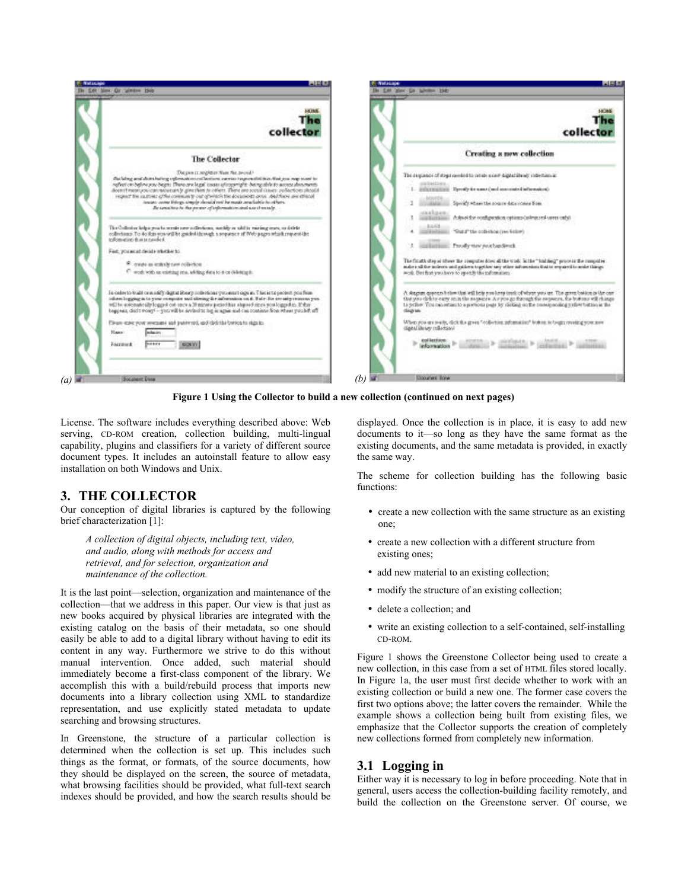

**Figure 1 Using the Collector to build a new collection (continued on next pages)**

License. The software includes everything described above: Web serving, CD-ROM creation, collection building, multi-lingual capability, plugins and classifiers for a variety of different source document types. It includes an autoinstall feature to allow easy installation on both Windows and Unix.

## **3. THE COLLECTOR**

Our conception of digital libraries is captured by the following brief characterization [1]:

*A collection of digital objects, including text, video, and audio, along with methods for access and retrieval, and for selection, organization and maintenance of the collection.*

It is the last point—selection, organization and maintenance of the collection—that we address in this paper. Our view is that just as new books acquired by physical libraries are integrated with the existing catalog on the basis of their metadata, so one should easily be able to add to a digital library without having to edit its content in any way. Furthermore we strive to do this without manual intervention. Once added, such material should immediately become a first-class component of the library. We accomplish this with a build/rebuild process that imports new documents into a library collection using XML to standardize representation, and use explicitly stated metadata to update searching and browsing structures.

In Greenstone, the structure of a particular collection is determined when the collection is set up. This includes such things as the format, or formats, of the source documents, how they should be displayed on the screen, the source of metadata, what browsing facilities should be provided, what full-text search indexes should be provided, and how the search results should be displayed. Once the collection is in place, it is easy to add new documents to it—so long as they have the same format as the existing documents, and the same metadata is provided, in exactly the same way.

The scheme for collection building has the following basic functions:

- create a new collection with the same structure as an existing one;
- create a new collection with a different structure from existing ones;
- add new material to an existing collection;
- modify the structure of an existing collection;
- delete a collection; and
- write an existing collection to a self-contained, self-installing CD-ROM.

Figure 1 shows the Greenstone Collector being used to create a new collection, in this case from a set of HTML files stored locally. In Figure 1a, the user must first decide whether to work with an existing collection or build a new one. The former case covers the first two options above; the latter covers the remainder. While the example shows a collection being built from existing files, we emphasize that the Collector supports the creation of completely new collections formed from completely new information.

## **3.1 Logging in**

Either way it is necessary to log in before proceeding. Note that in general, users access the collection-building facility remotely, and build the collection on the Greenstone server. Of course, we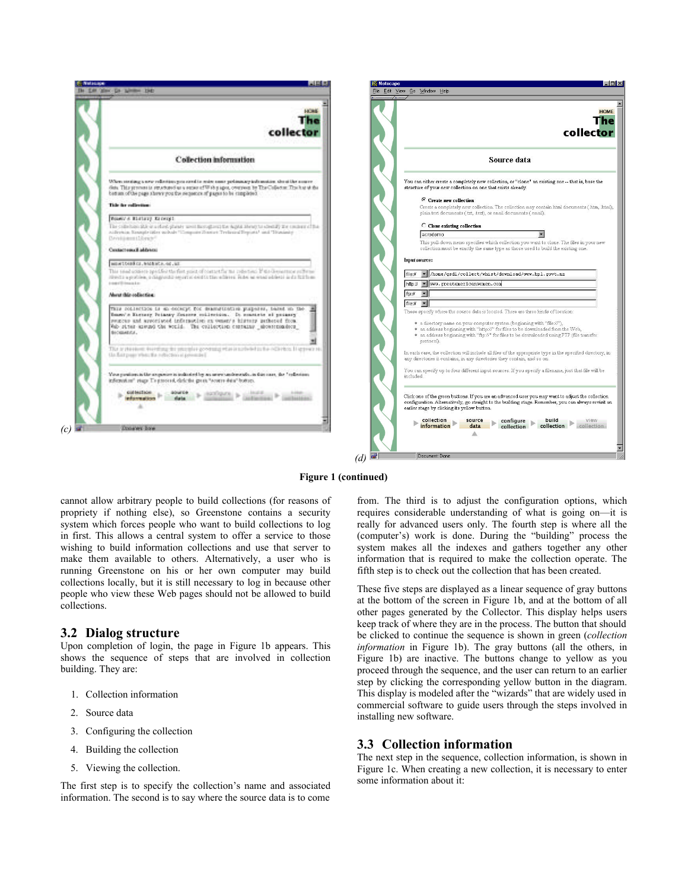

**Figure 1 (continued)**

cannot allow arbitrary people to build collections (for reasons of propriety if nothing else), so Greenstone contains a security system which forces people who want to build collections to log in first. This allows a central system to offer a service to those wishing to build information collections and use that server to make them available to others. Alternatively, a user who is running Greenstone on his or her own computer may build collections locally, but it is still necessary to log in because other people who view these Web pages should not be allowed to build collections.

#### **3.2 Dialog structure**

Upon completion of login, the page in Figure 1b appears. This shows the sequence of steps that are involved in collection building. They are:

- 1. Collection information
- 2. Source data
- 3. Configuring the collection
- 4. Building the collection
- 5. Viewing the collection.

The first step is to specify the collection's name and associated information. The second is to say where the source data is to come

from. The third is to adjust the configuration options, which requires considerable understanding of what is going on—it is really for advanced users only. The fourth step is where all the (computer's) work is done. During the "building" process the system makes all the indexes and gathers together any other information that is required to make the collection operate. The fifth step is to check out the collection that has been created.

These five steps are displayed as a linear sequence of gray buttons at the bottom of the screen in Figure 1b, and at the bottom of all other pages generated by the Collector. This display helps users keep track of where they are in the process. The button that should be clicked to continue the sequence is shown in green (*collection information* in Figure 1b). The gray buttons (all the others, in Figure 1b) are inactive. The buttons change to yellow as you proceed through the sequence, and the user can return to an earlier step by clicking the corresponding yellow button in the diagram. This display is modeled after the "wizards" that are widely used in commercial software to guide users through the steps involved in installing new software.

#### **3.3 Collection information**

The next step in the sequence, collection information, is shown in Figure 1c. When creating a new collection, it is necessary to enter some information about it: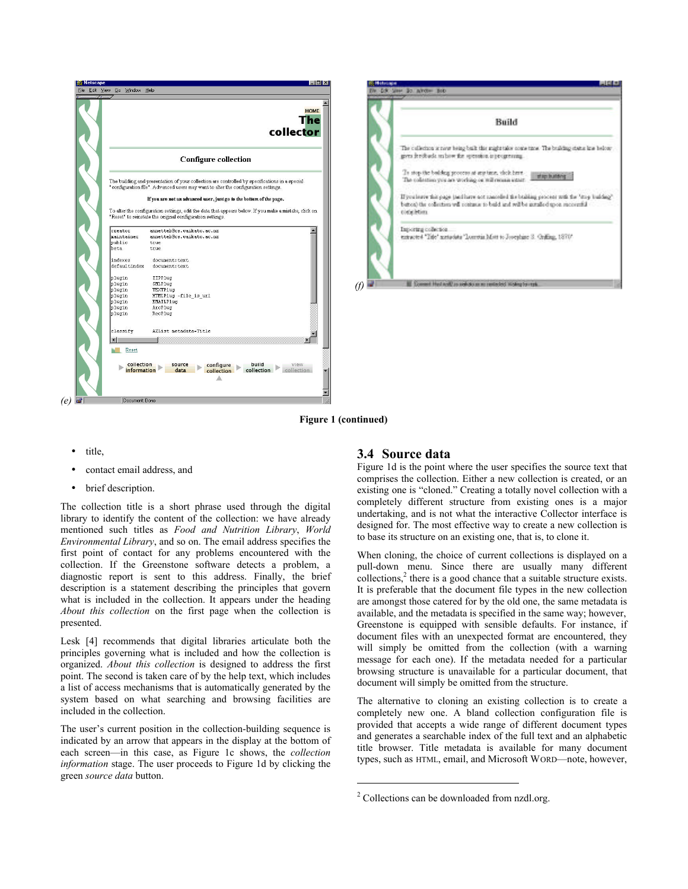



**Figure 1 (continued)**

l

- title,
- contact email address, and
- brief description.

The collection title is a short phrase used through the digital library to identify the content of the collection: we have already mentioned such titles as *Food and Nutrition Library*, *World Environmental Library*, and so on. The email address specifies the first point of contact for any problems encountered with the collection. If the Greenstone software detects a problem, a diagnostic report is sent to this address. Finally, the brief description is a statement describing the principles that govern what is included in the collection. It appears under the heading *About this collection* on the first page when the collection is presented.

Lesk [4] recommends that digital libraries articulate both the principles governing what is included and how the collection is organized. *About this collection* is designed to address the first point. The second is taken care of by the help text, which includes a list of access mechanisms that is automatically generated by the system based on what searching and browsing facilities are included in the collection.

The user's current position in the collection-building sequence is indicated by an arrow that appears in the display at the bottom of each screen—in this case, as Figure 1c shows, the *collection information* stage. The user proceeds to Figure 1d by clicking the green *source data* button.

#### **3.4 Source data**

Figure 1d is the point where the user specifies the source text that comprises the collection. Either a new collection is created, or an existing one is "cloned." Creating a totally novel collection with a completely different structure from existing ones is a major undertaking, and is not what the interactive Collector interface is designed for. The most effective way to create a new collection is to base its structure on an existing one, that is, to clone it.

When cloning, the choice of current collections is displayed on a pull-down menu. Since there are usually many different  $\frac{1}{2}$  collections,<sup>2</sup> there is a good chance that a suitable structure exists. It is preferable that the document file types in the new collection are amongst those catered for by the old one, the same metadata is available, and the metadata is specified in the same way; however, Greenstone is equipped with sensible defaults. For instance, if document files with an unexpected format are encountered, they will simply be omitted from the collection (with a warning message for each one). If the metadata needed for a particular browsing structure is unavailable for a particular document, that document will simply be omitted from the structure.

The alternative to cloning an existing collection is to create a completely new one. A bland collection configuration file is provided that accepts a wide range of different document types and generates a searchable index of the full text and an alphabetic title browser. Title metadata is available for many document types, such as HTML, email, and Microsoft WORD—note, however,

<sup>&</sup>lt;sup>2</sup> Collections can be downloaded from nzdl.org.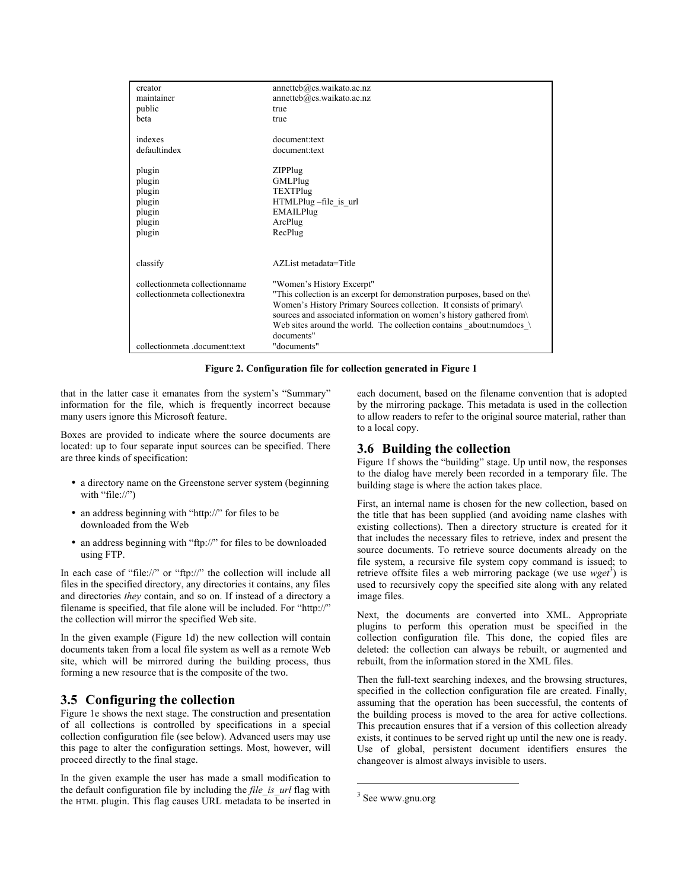| creator                        | annetteb@cs.waikato.ac.nz                                               |
|--------------------------------|-------------------------------------------------------------------------|
| maintainer                     | annetteb@cs.waikato.ac.nz                                               |
| public                         | true                                                                    |
| heta                           | true                                                                    |
|                                |                                                                         |
| indexes                        | document:text                                                           |
| defaultindex                   | document:text                                                           |
|                                |                                                                         |
| plugin                         | <b>ZIPPlug</b>                                                          |
| plugin                         | <b>GMLPlug</b>                                                          |
| plugin                         | <b>TEXTPlug</b>                                                         |
| plugin                         | HTMLPlug-file is url                                                    |
| plugin                         | <b>EMAILPlug</b>                                                        |
| plugin                         | ArcPlug                                                                 |
| plugin                         | RecPlug                                                                 |
|                                |                                                                         |
|                                |                                                                         |
| classify                       | AZL ist metadata=Title                                                  |
| collectionmeta collectionname  |                                                                         |
|                                | "Women's History Excerpt"                                               |
| collectionmeta collectionextra | "This collection is an excerpt for demonstration purposes, based on the |
|                                | Women's History Primary Sources collection. It consists of primary      |
|                                | sources and associated information on women's history gathered from\    |
|                                | Web sites around the world. The collection contains _about:numdocs_\    |
|                                | documents"                                                              |
| collectionmeta .document:text  | "documents"                                                             |

**Figure 2. Configuration file for collection generated in Figure 1**

that in the latter case it emanates from the system's "Summary" information for the file, which is frequently incorrect because many users ignore this Microsoft feature.

Boxes are provided to indicate where the source documents are located: up to four separate input sources can be specified. There are three kinds of specification:

- a directory name on the Greenstone server system (beginning with "file://")
- an address beginning with "http://" for files to be downloaded from the Web
- an address beginning with "ftp://" for files to be downloaded using FTP.

In each case of "file://" or "ftp://" the collection will include all files in the specified directory, any directories it contains, any files and directories *they* contain, and so on. If instead of a directory a filename is specified, that file alone will be included. For "http://" the collection will mirror the specified Web site.

In the given example (Figure 1d) the new collection will contain documents taken from a local file system as well as a remote Web site, which will be mirrored during the building process, thus forming a new resource that is the composite of the two.

#### **3.5 Configuring the collection**

Figure 1e shows the next stage. The construction and presentation of all collections is controlled by specifications in a special collection configuration file (see below). Advanced users may use this page to alter the configuration settings. Most, however, will proceed directly to the final stage.

In the given example the user has made a small modification to the default configuration file by including the *file* is url flag with the HTML plugin. This flag causes URL metadata to be inserted in each document, based on the filename convention that is adopted by the mirroring package. This metadata is used in the collection to allow readers to refer to the original source material, rather than to a local copy.

## **3.6 Building the collection**

Figure 1f shows the "building" stage. Up until now, the responses to the dialog have merely been recorded in a temporary file. The building stage is where the action takes place.

First, an internal name is chosen for the new collection, based on the title that has been supplied (and avoiding name clashes with existing collections). Then a directory structure is created for it that includes the necessary files to retrieve, index and present the source documents. To retrieve source documents already on the file system, a recursive file system copy command is issued; to retrieve offsite files a web mirroring package (we use  $wge^{3}$ ) is used to recursively copy the specified site along with any related image files.

Next, the documents are converted into XML. Appropriate plugins to perform this operation must be specified in the collection configuration file. This done, the copied files are deleted: the collection can always be rebuilt, or augmented and rebuilt, from the information stored in the XML files.

Then the full-text searching indexes, and the browsing structures, specified in the collection configuration file are created. Finally, assuming that the operation has been successful, the contents of the building process is moved to the area for active collections. This precaution ensures that if a version of this collection already exists, it continues to be served right up until the new one is ready. Use of global, persistent document identifiers ensures the changeover is almost always invisible to users.

l

<sup>&</sup>lt;sup>3</sup> See www.gnu.org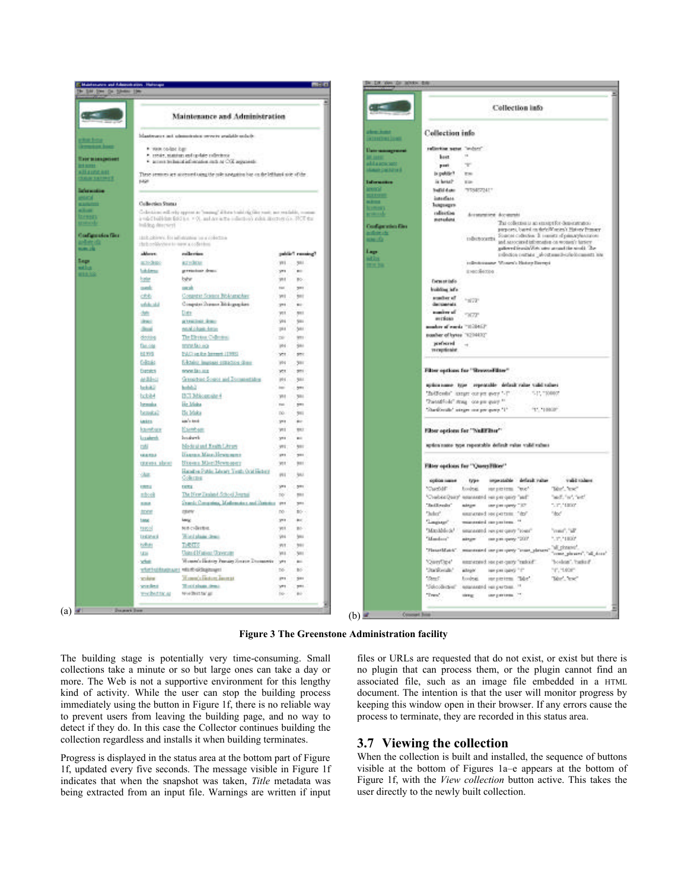|                                                                                                      | Maintenance and Administration<br>Manteurer and udmontrists provin available orderly. |                                                                                                                                                                |                         |                                                 |                                             |                                 | Collection info                                                                                                                                                                  |
|------------------------------------------------------------------------------------------------------|---------------------------------------------------------------------------------------|----------------------------------------------------------------------------------------------------------------------------------------------------------------|-------------------------|-------------------------------------------------|---------------------------------------------|---------------------------------|----------------------------------------------------------------------------------------------------------------------------------------------------------------------------------|
|                                                                                                      |                                                                                       |                                                                                                                                                                |                         | <b><i><u>State Annual</u></i></b>               | <b>Collection info</b>                      |                                 |                                                                                                                                                                                  |
| photo fortug<br><b><i><u>President from</u></i></b>                                                  | * Yes color kg:                                                                       |                                                                                                                                                                |                         | <b>ALLIED BE JOINT</b><br><b>University</b> was | relieving sense. "Indust".                  |                                 |                                                                                                                                                                                  |
| <b><i><u>Extra MANUMENT</u></i></b>                                                                  |                                                                                       | * retain, statists and spokes collectors.<br>· actives by height adveraging and as COI asymptotic                                                              |                         |                                                 | <b>MARK</b><br>add a sencount               | boet.                           | $\sim$                                                                                                                                                                           |
| AZE A LITAL AVEC                                                                                     |                                                                                       | These seemes are accessed using the sale savigation bas on the lefthand side of the                                                                            |                         |                                                 | Await pacture &                             | part<br>in public?              | ÷<br><b>THE</b>                                                                                                                                                                  |
| <b><i><u>TANK LATING</u></i></b>                                                                     | 5,826                                                                                 |                                                                                                                                                                |                         |                                                 | Information<br><b>ROOM</b>                  | is lost!                        | <b>Kill</b>                                                                                                                                                                      |
| <b>Information</b>                                                                                   |                                                                                       |                                                                                                                                                                |                         |                                                 | <b>STERN</b>                                | <b>Suite Auto</b><br>intellate. | "FISASTAL!"                                                                                                                                                                      |
| Elistat                                                                                              | Collection Stone:                                                                     |                                                                                                                                                                |                         |                                                 | --<br><b>STATISTICS</b>                     | lugugen                         |                                                                                                                                                                                  |
|                                                                                                      | Indika discrimit                                                                      | Colesions will rely appear as "enough if here train righter want, not weakens, research<br>avad balklas fad ha v 0. aul av a ta coletion nata motor da BCE tu- |                         |                                                 | <b>REMARKS</b><br><b>Configuration Fire</b> | religions<br>menaduna           | Accomment Accommit<br>That collective is not expect for demonstration -                                                                                                          |
| <b>Golfgericke film</b>                                                                              | the booklaying in them a collection.                                                  | stark additional. For addistrations has a collection                                                                                                           |                         |                                                 | <b><i><u>Address</u></i></b><br>0.44        |                                 | parpears), based on the efficiency Hatsey Premiers<br>Suggest codestion 12 installate of political interests<br>tallectonerity.<br>and associated information on women's hirtery |
|                                                                                                      | abbone.                                                                               | esilerises                                                                                                                                                     |                         | public? rassing?                                | Lage                                        |                                 | galowed teach/disk sales around the single. The<br>relection centrals about successfully subsets in                                                                              |
|                                                                                                      | activities)                                                                           | armittee                                                                                                                                                       | <b>VEL</b>              | 381                                             | <b>MARK</b>                                 |                                 | tollectonage Moses's Notes Borrest                                                                                                                                               |
|                                                                                                      | tabless                                                                               | gression deal.                                                                                                                                                 | yes                     | m.                                              | 世王加                                         |                                 | писобелов                                                                                                                                                                        |
|                                                                                                      | <b>State</b>                                                                          | bihir                                                                                                                                                          | 391                     | BS.                                             |                                             | Forwards Isla                   |                                                                                                                                                                                  |
|                                                                                                      | past.                                                                                 | incià.                                                                                                                                                         | <b>Car</b>              | seri                                            |                                             | <b>Inciding info</b>            |                                                                                                                                                                                  |
|                                                                                                      | cibb.                                                                                 | Congeter Science Ricksmacher                                                                                                                                   | WI                      | test                                            |                                             | sude of                         | 1472                                                                                                                                                                             |
|                                                                                                      | salah akil                                                                            | Congram Surann Birkogugikas                                                                                                                                    | 271                     | mi-                                             |                                             | decisionists                    |                                                                                                                                                                                  |
|                                                                                                      | date                                                                                  | Date                                                                                                                                                           | yet.                    | $n+1$                                           |                                             | transferr of<br><b>MITSONS</b>  | 7872                                                                                                                                                                             |
|                                                                                                      | <b>Jewis</b><br><b>José</b>                                                           | <b>ATMOSFEMENT</b><br>no.al.ichaek.ikmin                                                                                                                       | VH <sub>1</sub><br>1944 | No.<br>fekt                                     |                                             | modern of words "1010463"       |                                                                                                                                                                                  |
| dottes<br><b>Det one</b><br>61,993<br>Gilblide<br><b>Depict</b><br><b>MAINS</b><br>bokiki<br>bcbitel |                                                                                       | The Electric Collection                                                                                                                                        | DF.                     | ters.                                           |                                             | souther of leves "4214432"      |                                                                                                                                                                                  |
|                                                                                                      |                                                                                       | tring facilities                                                                                                                                               | into a                  | 944                                             |                                             | preferred                       |                                                                                                                                                                                  |
|                                                                                                      |                                                                                       | FACLin for levered 11993.                                                                                                                                      | <b>Set</b>              | ser:                                            |                                             | <b>TECHNOLOGIC</b>              |                                                                                                                                                                                  |
|                                                                                                      |                                                                                       | Editeira: Imagene straution direct                                                                                                                             | WH <sub>1</sub>         | <b>SHI</b>                                      |                                             |                                 |                                                                                                                                                                                  |
|                                                                                                      |                                                                                       | toot littles                                                                                                                                                   | <b>SOF</b>              | set i                                           |                                             |                                 | Filter options for "StreworFilter"                                                                                                                                               |
|                                                                                                      |                                                                                       | Grenature Source and Tornmetting                                                                                                                               | 144                     | 541                                             |                                             |                                 | spikes name, type - repeatable - definalt value valid values                                                                                                                     |
|                                                                                                      |                                                                                       | <b>Sold of</b>                                                                                                                                                 | <b>Seco</b>             | <b>britt</b>                                    |                                             |                                 | "helfenis" same cape over "-?"<br>2010年5月17日000万                                                                                                                                 |
|                                                                                                      |                                                                                       | DCLMAssage+                                                                                                                                                    | <b>YH</b>               | No.                                             |                                             |                                 | That official straig congress guary **                                                                                                                                           |
|                                                                                                      | <b>brasks</b>                                                                         | He Midsa                                                                                                                                                       | <b>THE</b><br>DO.       | ters:                                           |                                             |                                 | ft", "18800"<br>"Surfacede" steps out per pany."1"                                                                                                                               |
|                                                                                                      | bonda)<br><b>Leskes</b>                                                               | Di Maka<br>an's test                                                                                                                                           | yes.                    | 961<br>in.                                      |                                             |                                 |                                                                                                                                                                                  |
|                                                                                                      | kambara                                                                               | <b>Sanham</b>                                                                                                                                                  | <b>VII</b>              | <b>BKI</b>                                      |                                             |                                 | Filter options for "NailFilter"                                                                                                                                                  |
|                                                                                                      | <b>Lusters</b>                                                                        | Insterk                                                                                                                                                        | yes.                    | min.                                            |                                             |                                 |                                                                                                                                                                                  |
|                                                                                                      | tabl                                                                                  | Nishi at and Exam Literary                                                                                                                                     | <b>VII</b>              | tes:                                            |                                             |                                 | spilen'naste type repeatable defenit rules valid ruless                                                                                                                          |
|                                                                                                      | <b>MATOJ</b>                                                                          | Hagnan Mauchlewament                                                                                                                                           | <b>ATT</b>              | <b>SHI</b>                                      |                                             |                                 |                                                                                                                                                                                  |
|                                                                                                      | <b>ULE-FOL ASKAT</b>                                                                  | Hissan MariNewmoner                                                                                                                                            | VI1                     | 3881                                            |                                             |                                 | Filter options for "QueenFilter"                                                                                                                                                 |
|                                                                                                      | <b>SMR</b>                                                                            | Handise Public Library Touth Ocal Helioty<br>Golkstein                                                                                                         | 711                     | <b>SAL</b>                                      |                                             | collos name                     | valid solare<br>impeabilitie deficult ratter<br>trav                                                                                                                             |
|                                                                                                      | <b>ESTE</b>                                                                           | <b>COTTA</b>                                                                                                                                                   | yes.                    | <b>APRIL</b>                                    |                                             | <b>November</b>                 | Tiber, Text<br>fooders.<br>serperism "exc"                                                                                                                                       |
| mbosk<br><b>SIM</b><br><b><i>tree</i></b><br>tase<br>母医炎<br>tecase<br>bollute                        |                                                                                       | The New Tanked School Journal                                                                                                                                  | TiO <sup>1</sup>        | ma e                                            |                                             |                                 | health for the of<br>*Chaloes/Quirp' equinement van per quirp "auf"                                                                                                              |
|                                                                                                      |                                                                                       | Stands Compaints, Mailens and Anti-time<br>nsew                                                                                                                | 177<br>no.              | <b>SHIP</b><br>BS:                              |                                             | "Indianabo"                     | ST/GW<br>saleger.<br>our per specy "37"                                                                                                                                          |
|                                                                                                      |                                                                                       | laric.                                                                                                                                                         | yes.                    | in c                                            |                                             | "Judez".                        | ensuranced one per tam. " (to"<br><b>Mod</b>                                                                                                                                     |
|                                                                                                      |                                                                                       | sencolarme.                                                                                                                                                    | VOT                     | ms.                                             |                                             | "Lauguage"                      | missanted carpertees. "<br>Town 1985                                                                                                                                             |
|                                                                                                      |                                                                                       | The Labels Dec.                                                                                                                                                | VH                      | tess.                                           |                                             | "Machblode"<br>"Mandone"        | seananted verper quity "steer"<br>1.271802<br>may in query "202".<br>ainer."                                                                                                     |
|                                                                                                      |                                                                                       | nems                                                                                                                                                           | WE                      | trai                                            |                                             |                                 |                                                                                                                                                                                  |
|                                                                                                      | <b>UGH</b>                                                                            | <b><i><b>Date of Mariner Chorecate</b></i></b>                                                                                                                 | Vote                    | Sep 2                                           |                                             |                                 | "Heartifact" museums are properly "executives" [M] phases"<br>"cont_pleases", "all_door"                                                                                         |
|                                                                                                      | <b>STAR</b>                                                                           | Wenner's Hintony Peacing System Diseaseder                                                                                                                     | <b>SPR</b>              | m                                               |                                             | <b>YOurnTipe</b> *              | "bookin", "carked"<br>hader" your teacher the complete                                                                                                                           |
|                                                                                                      |                                                                                       | The considered with the tractification                                                                                                                         | $^{16}$                 | 86                                              |                                             | "Jackwall"                      | 10.140m<br>len per quinti "1"<br>aliser.                                                                                                                                         |
|                                                                                                      | <b>STARK</b>                                                                          | Homels Beton Jacoras                                                                                                                                           | 271                     | time                                            |                                             | *Deed"                          | Title", "train"<br>Ecologi.<br>serpertem "Sde"                                                                                                                                   |
|                                                                                                      | sceler                                                                                | The Column Street                                                                                                                                              | <b>SPT</b>              | yes:                                            |                                             | Melcollected"                   | equivalent values of the                                                                                                                                                         |
|                                                                                                      | TOOM THAN                                                                             | NVADNISTA' AF                                                                                                                                                  | 16                      | W-                                              |                                             | "Dear"                          | argentes. 7<br>time.                                                                                                                                                             |

**Figure 3 The Greenstone Administration facility**

The building stage is potentially very time-consuming. Small collections take a minute or so but large ones can take a day or more. The Web is not a supportive environment for this lengthy kind of activity. While the user can stop the building process immediately using the button in Figure 1f, there is no reliable way to prevent users from leaving the building page, and no way to detect if they do. In this case the Collector continues building the collection regardless and installs it when building terminates.

Progress is displayed in the status area at the bottom part of Figure 1f, updated every five seconds. The message visible in Figure 1f indicates that when the snapshot was taken, *Title* metadata was being extracted from an input file. Warnings are written if input files or URLs are requested that do not exist, or exist but there is no plugin that can process them, or the plugin cannot find an associated file, such as an image file embedded in a HTML document. The intention is that the user will monitor progress by keeping this window open in their browser. If any errors cause the process to terminate, they are recorded in this status area.

#### **3.7 Viewing the collection**

When the collection is built and installed, the sequence of buttons visible at the bottom of Figures 1a–e appears at the bottom of Figure 1f, with the *View collection* button active. This takes the user directly to the newly built collection.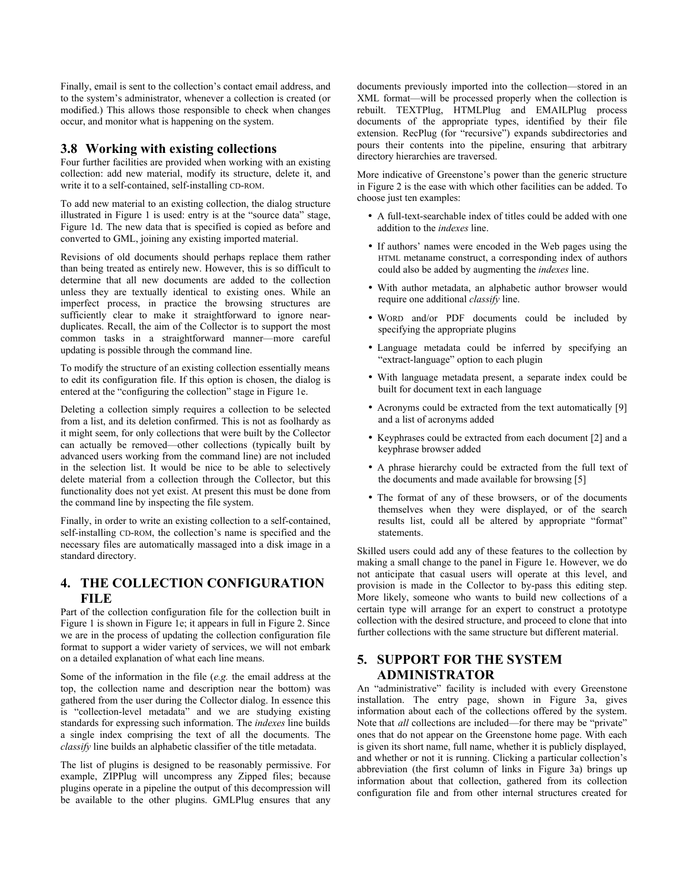Finally, email is sent to the collection's contact email address, and to the system's administrator, whenever a collection is created (or modified.) This allows those responsible to check when changes occur, and monitor what is happening on the system.

#### **3.8 Working with existing collections**

Four further facilities are provided when working with an existing collection: add new material, modify its structure, delete it, and write it to a self-contained, self-installing CD-ROM.

To add new material to an existing collection, the dialog structure illustrated in Figure 1 is used: entry is at the "source data" stage, Figure 1d. The new data that is specified is copied as before and converted to GML, joining any existing imported material.

Revisions of old documents should perhaps replace them rather than being treated as entirely new. However, this is so difficult to determine that all new documents are added to the collection unless they are textually identical to existing ones. While an imperfect process, in practice the browsing structures are sufficiently clear to make it straightforward to ignore nearduplicates. Recall, the aim of the Collector is to support the most common tasks in a straightforward manner—more careful updating is possible through the command line.

To modify the structure of an existing collection essentially means to edit its configuration file. If this option is chosen, the dialog is entered at the "configuring the collection" stage in Figure 1e.

Deleting a collection simply requires a collection to be selected from a list, and its deletion confirmed. This is not as foolhardy as it might seem, for only collections that were built by the Collector can actually be removed—other collections (typically built by advanced users working from the command line) are not included in the selection list. It would be nice to be able to selectively delete material from a collection through the Collector, but this functionality does not yet exist. At present this must be done from the command line by inspecting the file system.

Finally, in order to write an existing collection to a self-contained, self-installing CD-ROM, the collection's name is specified and the necessary files are automatically massaged into a disk image in a standard directory.

## **4. THE COLLECTION CONFIGURATION FILE**

Part of the collection configuration file for the collection built in Figure 1 is shown in Figure 1e; it appears in full in Figure 2. Since we are in the process of updating the collection configuration file format to support a wider variety of services, we will not embark on a detailed explanation of what each line means.

Some of the information in the file (*e.g.* the email address at the top, the collection name and description near the bottom) was gathered from the user during the Collector dialog. In essence this is "collection-level metadata" and we are studying existing standards for expressing such information. The *indexes* line builds a single index comprising the text of all the documents. The *classify* line builds an alphabetic classifier of the title metadata.

The list of plugins is designed to be reasonably permissive. For example, ZIPPlug will uncompress any Zipped files; because plugins operate in a pipeline the output of this decompression will be available to the other plugins. GMLPlug ensures that any

documents previously imported into the collection—stored in an XML format—will be processed properly when the collection is rebuilt. TEXTPlug, HTMLPlug and EMAILPlug process documents of the appropriate types, identified by their file extension. RecPlug (for "recursive") expands subdirectories and pours their contents into the pipeline, ensuring that arbitrary directory hierarchies are traversed.

More indicative of Greenstone's power than the generic structure in Figure 2 is the ease with which other facilities can be added. To choose just ten examples:

- A full-text-searchable index of titles could be added with one addition to the *indexes* line.
- If authors' names were encoded in the Web pages using the HTML metaname construct, a corresponding index of authors could also be added by augmenting the *indexes* line.
- With author metadata, an alphabetic author browser would require one additional *classify* line.
- WORD and/or PDF documents could be included by specifying the appropriate plugins
- Language metadata could be inferred by specifying an "extract-language" option to each plugin
- With language metadata present, a separate index could be built for document text in each language
- Acronyms could be extracted from the text automatically [9] and a list of acronyms added
- Keyphrases could be extracted from each document [2] and a keyphrase browser added
- A phrase hierarchy could be extracted from the full text of the documents and made available for browsing [5]
- The format of any of these browsers, or of the documents themselves when they were displayed, or of the search results list, could all be altered by appropriate "format" statements.

Skilled users could add any of these features to the collection by making a small change to the panel in Figure 1e. However, we do not anticipate that casual users will operate at this level, and provision is made in the Collector to by-pass this editing step. More likely, someone who wants to build new collections of a certain type will arrange for an expert to construct a prototype collection with the desired structure, and proceed to clone that into further collections with the same structure but different material.

## **5. SUPPORT FOR THE SYSTEM ADMINISTRATOR**

An "administrative" facility is included with every Greenstone installation. The entry page, shown in Figure 3a, gives information about each of the collections offered by the system. Note that *all* collections are included—for there may be "private" ones that do not appear on the Greenstone home page. With each is given its short name, full name, whether it is publicly displayed, and whether or not it is running. Clicking a particular collection's abbreviation (the first column of links in Figure 3a) brings up information about that collection, gathered from its collection configuration file and from other internal structures created for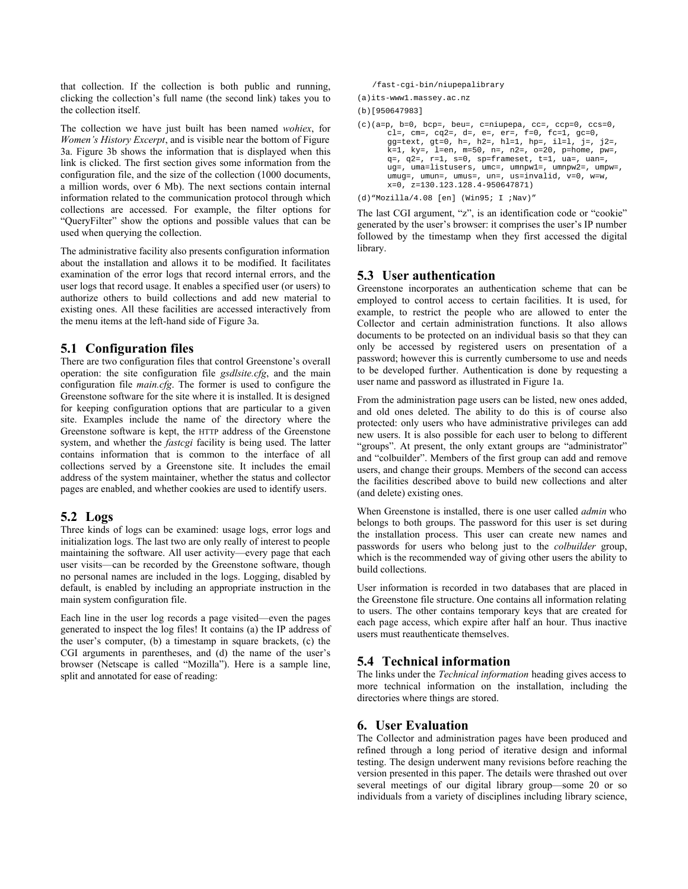that collection. If the collection is both public and running, clicking the collection's full name (the second link) takes you to the collection itself.

The collection we have just built has been named *wohiex*, for *Women's History Excerpt*, and is visible near the bottom of Figure 3a. Figure 3b shows the information that is displayed when this link is clicked. The first section gives some information from the configuration file, and the size of the collection (1000 documents, a million words, over 6 Mb). The next sections contain internal information related to the communication protocol through which collections are accessed. For example, the filter options for "QueryFilter" show the options and possible values that can be used when querying the collection.

The administrative facility also presents configuration information about the installation and allows it to be modified. It facilitates examination of the error logs that record internal errors, and the user logs that record usage. It enables a specified user (or users) to authorize others to build collections and add new material to existing ones. All these facilities are accessed interactively from the menu items at the left-hand side of Figure 3a.

#### **5.1 Configuration files**

There are two configuration files that control Greenstone's overall operation: the site configuration file *gsdlsite.cfg*, and the main configuration file *main.cfg*. The former is used to configure the Greenstone software for the site where it is installed. It is designed for keeping configuration options that are particular to a given site. Examples include the name of the directory where the Greenstone software is kept, the HTTP address of the Greenstone system, and whether the *fastcgi* facility is being used. The latter contains information that is common to the interface of all collections served by a Greenstone site. It includes the email address of the system maintainer, whether the status and collector pages are enabled, and whether cookies are used to identify users.

## **5.2 Logs**

Three kinds of logs can be examined: usage logs, error logs and initialization logs. The last two are only really of interest to people maintaining the software. All user activity—every page that each user visits—can be recorded by the Greenstone software, though no personal names are included in the logs. Logging, disabled by default, is enabled by including an appropriate instruction in the main system configuration file.

Each line in the user log records a page visited—even the pages generated to inspect the log files! It contains (a) the IP address of the user's computer, (b) a timestamp in square brackets, (c) the CGI arguments in parentheses, and (d) the name of the user's browser (Netscape is called "Mozilla"). Here is a sample line, split and annotated for ease of reading:

/fast-cgi-bin/niupepalibrary

```
(a)its-www1.massey.ac.nz
```
(b)[950647983]

```
(c)(a=p, b=0, bcp=, beu=, c=niupepa, cc=, cep=0, ccs=0,cl=, cm=, cq2=, d=, e=, er=, f=0, fc=1, gc=0,
gg=text, gt=0, h=, h2=, hl=1, hp=, il=l, j=, j2=,
       k=1, ky=, l=en, m=50, n=, n2=, o=20, p=home, pw=,
       q=, q2=, r=1, s=0, sp=frameset, t=1, ua=, uan=,
       ug=, uma=listusers, umc=, umnpw1=, umnpw2=, umpw=,
       umug=, umun=, umus=, un=, us=invalid, v=0, w=w,
       x=0, z=130.123.128.4-950647871)
(d)"Mozilla/4.08 [en] (Win95; I ;Nav)"
```
The last CGI argument, "z", is an identification code or "cookie" generated by the user's browser: it comprises the user's IP number followed by the timestamp when they first accessed the digital library.

#### **5.3 User authentication**

Greenstone incorporates an authentication scheme that can be employed to control access to certain facilities. It is used, for example, to restrict the people who are allowed to enter the Collector and certain administration functions. It also allows documents to be protected on an individual basis so that they can only be accessed by registered users on presentation of a password; however this is currently cumbersome to use and needs to be developed further. Authentication is done by requesting a user name and password as illustrated in Figure 1a.

From the administration page users can be listed, new ones added, and old ones deleted. The ability to do this is of course also protected: only users who have administrative privileges can add new users. It is also possible for each user to belong to different "groups". At present, the only extant groups are "administrator" and "colbuilder". Members of the first group can add and remove users, and change their groups. Members of the second can access the facilities described above to build new collections and alter (and delete) existing ones.

When Greenstone is installed, there is one user called *admin* who belongs to both groups. The password for this user is set during the installation process. This user can create new names and passwords for users who belong just to the *colbuilder* group, which is the recommended way of giving other users the ability to build collections.

User information is recorded in two databases that are placed in the Greenstone file structure. One contains all information relating to users. The other contains temporary keys that are created for each page access, which expire after half an hour. Thus inactive users must reauthenticate themselves.

## **5.4 Technical information**

The links under the *Technical information* heading gives access to more technical information on the installation, including the directories where things are stored.

#### **6. User Evaluation**

The Collector and administration pages have been produced and refined through a long period of iterative design and informal testing. The design underwent many revisions before reaching the version presented in this paper. The details were thrashed out over several meetings of our digital library group—some 20 or so individuals from a variety of disciplines including library science,